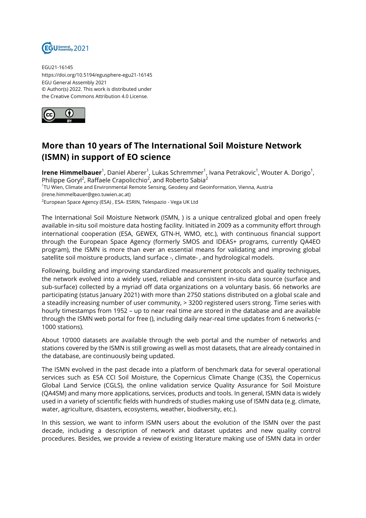

EGU21-16145 https://doi.org/10.5194/egusphere-egu21-16145 EGU General Assembly 2021 © Author(s) 2022. This work is distributed under the Creative Commons Attribution 4.0 License.



## **More than 10 years of The International Soil Moisture Network (ISMN) in support of EO science**

**Irene Himmelbauer**<sup>1</sup>, Daniel Aberer<sup>1</sup>, Lukas Schremmer<sup>1</sup>, Ivana Petrakovic<sup>1</sup>, Wouter A. Dorigo<sup>1</sup>, Philippe Goryl<sup>2</sup>, Raffaele Crapolicchio<sup>2</sup>, and Roberto Sabia<sup>2</sup> 1 TU Wien, Climate and Environmental Remote Sensing, Geodesy and Geoinformation, Vienna, Austria (irene.himmelbauer@geo.tuwien.ac.at) <sup>2</sup>European Space Agency (ESA) , ESA- ESRIN, Telespazio - Vega UK Ltd

The International Soil Moisture Network (ISMN, ) is a unique centralized global and open freely available in-situ soil moisture data hosting facility. Initiated in 2009 as a community effort through international cooperation (ESA, GEWEX, GTN-H, WMO, etc.), with continuous financial support through the European Space Agency (formerly SMOS and IDEAS+ programs, currently QA4EO program), the ISMN is more than ever an essential means for validating and improving global satellite soil moisture products, land surface -, climate- , and hydrological models.

Following, building and improving standardized measurement protocols and quality techniques, the network evolved into a widely used, reliable and consistent in-situ data source (surface and sub-surface) collected by a myriad off data organizations on a voluntary basis. 66 networks are participating (status January 2021) with more than 2750 stations distributed on a global scale and a steadily increasing number of user community, > 3200 registered users strong. Time series with hourly timestamps from 1952 – up to near real time are stored in the database and are available through the ISMN web portal for free (), including daily near-real time updates from 6 networks ( $\sim$ 1000 stations).

About 10'000 datasets are available through the web portal and the number of networks and stations covered by the ISMN is still growing as well as most datasets, that are already contained in the database, are continuously being updated.

The ISMN evolved in the past decade into a platform of benchmark data for several operational services such as ESA CCI Soil Moisture, the Copernicus Climate Change (C3S), the Copernicus Global Land Service (CGLS), the online validation service Quality Assurance for Soil Moisture (QA4SM) and many more applications, services, products and tools. In general, ISMN data is widely used in a variety of scientific fields with hundreds of studies making use of ISMN data (e.g. climate, water, agriculture, disasters, ecosystems, weather, biodiversity, etc.).

In this session, we want to inform ISMN users about the evolution of the ISMN over the past decade, including a description of network and dataset updates and new quality control procedures. Besides, we provide a review of existing literature making use of ISMN data in order